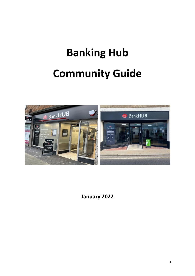# **Banking Hub Community Guide**



**January 2022**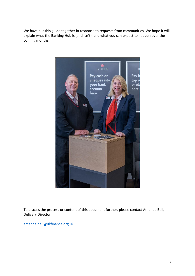We have put this guide together in response to requests from communities. We hope it will explain what the Banking Hub is (and isn't), and what you can expect to happen over the coming months.



To discuss the process or content of this document further, please contact Amanda Bell, Delivery Director.

[amanda.bell@ukfinance.org.uk](mailto:amanda.bell@ukfinance.org.uk)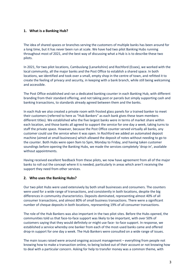#### **1. What is a Banking Hub?**

The idea of shared spaces or branches serving the customers of multiple banks has been around for a long time, but it has never been run at scale. We have had two pilot Banking Hubs running throughout most of 2021, and the best way of discussing what a Hub is is to describe these two pilots.

In 2021, for two pilot locations, Cambuslang (Lanarkshire) and Rochford (Essex), we worked with the local community, all the major banks and the Post Office to establish a shared space. In both locations, we identified and took over a small, empty shop in the centre of town, and refitted it to create the feeling of privacy and security, in keeping with a bank branch, while still being welcoming and accessible.

The Post Office established and ran a dedicated banking counter in each Banking Hub, with different branding from their standard offering, and not taking post or parcels but simply supporting cash and banking transactions, to standards already agreed between them and the banks.

In each Hub we also created a private room with frosted glass panels for a trained banker to meet their customers (referred to here as "Hub Bankers" as each bank gives these team members different titles). We established who the five largest banks were in terms of market share within each location, and those banks all agreed to support the service for one day a week, taking turns to staff the private space. However, because the Post Office counter served virtually all banks, any customer could use the service when it was open. In Rochford we added an automated deposit machine (aimed at small businesses) which allowed the deposit of notes without needing to go to the counter. Both Hubs were open 9am to 5pm, Monday to Friday, and having taken customer soundings before opening the Banking Hubs, we made the services completely 'drop-in', available without appointments.

Having received excellent feedback from these pilots, we now have agreement from all of the major banks to roll out the concept where it is needed, particularly in areas which aren't receiving the support they need from other services.

#### **2. Who uses the Banking Hubs?**

Our two pilot Hubs were used extensively by both small businesses and consumers. The counters were used for a wide range of transactions, and consistently in both locations, despite the big differences in community characteristics. Deposits dominated, representing almost 40% of all consumer transactions, and almost 80% of small business transactions. There were a significant number of cheque deposits in both locations, representing 19% of all consumer transactions.

The role of the Hub Bankers was also important in the two pilot sites. Before the Hubs opened, the communities told us that face-to-face support was likely to be important, with over 50% of customers saying that they would definitely or might use face- to-face support. In response, we established a service whereby one banker from each of the most-used banks came and offered drop-in support for one day a week. The Hub Bankers were consulted on a wide range of issues.

The main issues raised were around ongoing account management – everything from people not knowing how to make a transaction online, to being locked out of their account or not knowing how to deal with a particular concern. Asking for help to transfer money was a common theme, with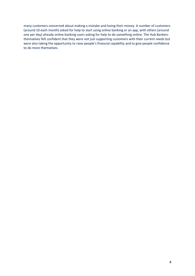many customers concerned about making a mistake and losing their money. A number of customers (around 10 each month) asked for help to start using online banking or an app, with others (around one per day) already online banking users asking for help to do something online. The Hub Bankers themselves felt confident that they were not just supporting customers with their current needs but were also taking the opportunity to raise people's financial capability and to give people confidence to do more themselves.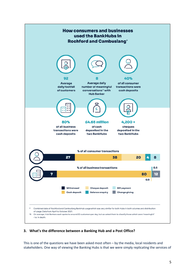

# **3. What's the difference between a Banking Hub and a Post Office?**

This is one of the questions we have been asked most often – by the media, local residents and stakeholders. One way of viewing the Banking Hubs is that we were simply replicating the services of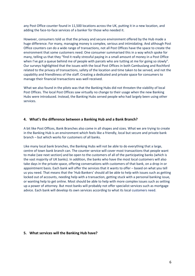any Post Office counter found in 11,500 locations across the UK, putting it in a new location, and adding the face-to-face services of a banker for those who needed it.

However, consumers told us that the privacy and secure environment offered by the Hub made a huge difference. For many, managing money is complex, serious and intimidating. And although Post Office counters can do a wide range of transactions, not all Post Offices have the space to create the environment that some customers need. One consumer summarised this in a way which spoke for many, telling us that they "find it really stressful paying in a small amount of money in a Post Office when I've got a queue behind me of people with parcels who are tutting at me for going so slowly". Our surveys highlighted that the issues with the local Post Offices in both Cambuslang and Rochford related to the privacy of transactions, safety of the location and time taken to be served, and not the capability and friendliness of the staff. Creating a dedicated and private space for consumers to manage their financial transactions was well received.

What we also found in the pilots was that the Banking Hubs did not threaten the viability of local Post Offices. The local Post Offices saw virtually no change to their usage when the new Banking Hubs were introduced. Instead, the Banking Hubs served people who had largely been using other services.

#### **4. What's the difference between a Banking Hub and a Bank Branch?**

A bit like Post Offices, Bank Branches also come in all shapes and sizes. What we are trying to create in the Banking Hub is an environment which feels like a friendly, local but secure and private bank branch – but which works for customers of all banks.

Like many local bank branches, the Banking Hubs will not be able to do everything that a large, centre of town bank branch can. The counter service will cover most transactions that people want to make (see next section) and be open to the customers of all of the participating banks (which is the vast majority of UK banks). In addition, the banks who have the most local customers will also take days in the private space, offering conversations with customers of that bank, on a drop in or appointment basis. Each bank will offer the services that it wants to offer – based on what you tell us you need. That means that the 'Hub Bankers' should all be able to help with issues such as getting locked out of accounts, needing help with a transaction, getting stuck with a personal banking issue, or wanting help to get online. Most should be able to help with more complex issues such as setting up a power of attorney. But most banks will probably not offer specialist services such as mortgage advice. Each bank will develop its own services according to what its local customers need.

#### **5. What services will the Banking Hub have?**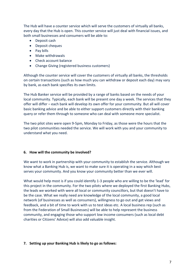The Hub will have a counter service which will serve the customers of virtually all banks, every day that the Hub is open. This counter service will just deal with financial issues, and both small businesses and consumers will be able to:

- Deposit cash
- Deposit cheques
- Pay bills
- Make withdrawals
- Check account balance
- Change Giving (registered business customers)

Although the counter service will cover the customers of virtually all banks, the thresholds on certain transactions (such as how much you can withdraw or deposit each day) may vary by bank, as each bank specifies its own limits.

The Hub Banker service will be provided by a range of banks based on the needs of your local community. Typically, each bank will be present one day a week. The services that they offer will differ – each bank will develop its own offer for your community. But all will cover basic banking advice and be able to either support customers directly with their banking query or refer them through to someone who can deal with someone more specialist.

The two pilot sites were open 9-5pm, Monday to Friday, as those were the hours that the two pilot communities needed the service. We will work with you and your community to understand what you need.

# **6. How will the community be involved?**

We want to work in partnership with your community to establish the service. Although we know what a Banking Hub is, we want to make sure it is operating in a way which best serves your community. And you know your community better than we ever will.

What would help most is if you could identify 1-3 people who are willing to be the 'lead' for this project in the community. For the two pilots where we deployed the first Banking Hubs, the leads we worked with were all local or community councillors, but that doesn't have to be the case. What we really need are knowledge of the local community, a good local network (of businesses as well as consumers), willingness to go out and get views and feedback, and a bit of time to work with us to test ideas etc. A local business rep (such as from the Federation of Small Businesses) will be able to help represent the business community, and engaging those who support low income consumers (such as local debt charities or Citizens' Advice) will also add valuable insight.

# **7. Setting up your Banking Hub is likely to go as follows:**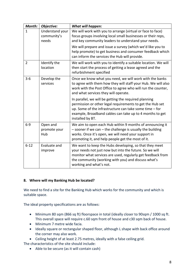| Month:         | Objective:                              | What will happen:                                                                                                                                                                                                                                                  |
|----------------|-----------------------------------------|--------------------------------------------------------------------------------------------------------------------------------------------------------------------------------------------------------------------------------------------------------------------|
| $\mathbf{1}$   | Understand your<br>community's<br>needs | We will work with you to arrange (virtual or face to face)<br>focus groups involving local small businesses or their reps,<br>and key community leaders to understand your needs.<br>We will prepare and issue a survey (which we'd like you to                    |
|                |                                         | help promote) to get business and consumer feedback which<br>can inform the services the Hub will provide.                                                                                                                                                         |
| $\overline{2}$ | Identify the<br>location                | We will work with you to identify a suitable location. We will<br>then start the process of getting a lease agreed and the<br>refurbishment specified                                                                                                              |
| $3 - 6$        | Develop the<br>services                 | Once we know what you need, we will work with the banks<br>to agree with them how they will staff your Hub. We will also<br>work with the Post Office to agree who will run the counter,<br>and what services they will operate.                                   |
|                |                                         | In parallel, we will be getting the required planning<br>permission or other legal requirements to get the Hub set<br>up. Some of the infrastructure can take some time - for<br>example, Broadband cables can take up to 4 months to get<br>installed by BT.      |
| $6-9$          | Open and<br>promote your<br>Hub         | We aim to open each Hub within 9 months of announcing it<br>- sooner if we can - the challenge is usually the building<br>works. Once it's open, we will need your support in<br>promoting it, and help people get the most of it.                                 |
| $6 - 12$       | Evaluate and<br>improve                 | We want to keep the Hubs developing, so that they meet<br>your needs not just now but into the future. So we will<br>monitor what services are used, regularly get feedback from<br>the community (working with you) and discuss what's<br>working and what's not. |

# **8. Where will my Banking Hub be located?**

We need to find a site for the Banking Hub which works for the community and which is suitable space.

The ideal property specifications are as follows:

- Minimum 80 sqm (866 sq ft) floorspace in total (ideally closer to 90sqm / 1000 sq ft. This overall space will require c.60 sqm front of house and c30 sqm back of house.
- Minimum 7 metre wide facia.
- Ideally square or rectangular shaped floor, although L shape with back office around the corner may also work.
- Ceiling height of at least 2.75 metres, ideally with a false ceiling grid.

The characteristics of the site should include:

• Able to be secure (as it will contain cash)